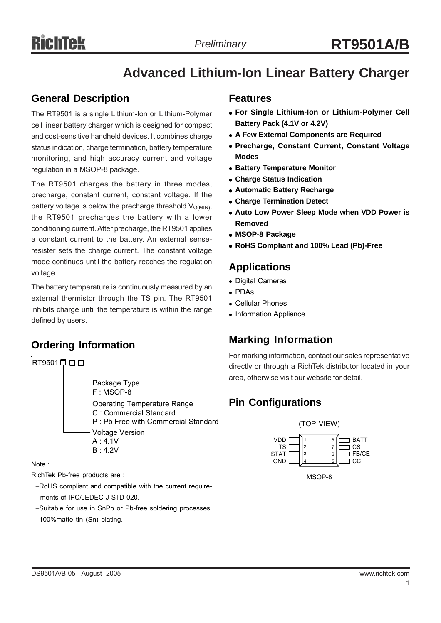## **Advanced Lithium-Ion Linear Battery Charger**

## **General Description**

The RT9501 is a single Lithium-Ion or Lithium-Polymer cell linear battery charger which is designed for compact and cost-sensitive handheld devices. It combines charge status indication, charge termination, battery temperature monitoring, and high accuracy current and voltage regulation in a MSOP-8 package.

The RT9501 charges the battery in three modes, precharge, constant current, constant voltage. If the battery voltage is below the precharge threshold  $V_{\text{O(MIN)}}$ , the RT9501 precharges the battery with a lower conditioning current. After precharge, the RT9501 applies a constant current to the battery. An external senseresister sets the charge current. The constant voltage mode continues until the battery reaches the regulation voltage.

The battery temperature is continuously measured by an external thermistor through the TS pin. The RT9501 inhibits charge until the temperature is within the range defined by users.

## **Ordering Information**



Note :

RichTek Pb-free products are :

- −RoHS compliant and compatible with the current require ments of IPC/JEDEC J-STD-020.
- −Suitable for use in SnPb or Pb-free soldering processes.
- −100%matte tin (Sn) plating.

### **Features**

- **For Single Lithium-Ion or Lithium-Polymer Cell Battery Pack (4.1V or 4.2V)**
- **A Few External Components are Required**
- **Precharge, Constant Current, Constant Voltage Modes**
- **Battery Temperature Monitor**
- <sup>z</sup> **Charge Status Indication**
- **Automatic Battery Recharge**
- **Charge Termination Detect**
- **Auto Low Power Sleep Mode when VDD Power is Removed**
- <sup>z</sup> **MSOP-8 Package**
- <sup>z</sup> **RoHS Compliant and 100% Lead (Pb)-Free**

### **Applications**

- Digital Cameras
- PDAs
- Cellular Phones
- Information Appliance

## **Marking Information**

For marking information, contact our sales representative directly or through a RichTek distributor located in your area, otherwise visit our website for detail.

## **Pin Configurations**



MSOP-8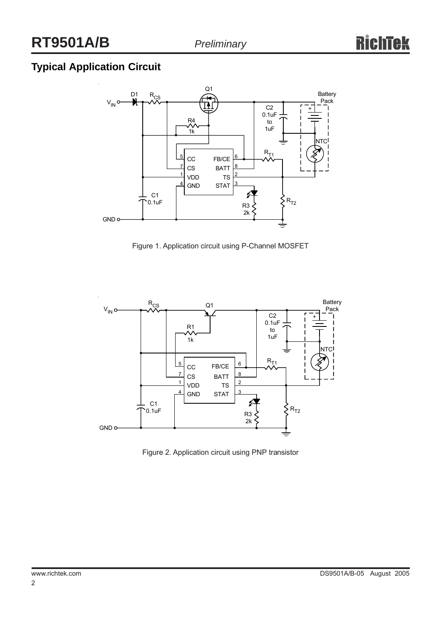## **Typical Application Circuit**



Figure 1. Application circuit using P-Channel MOSFET



Figure 2. Application circuit using PNP transistor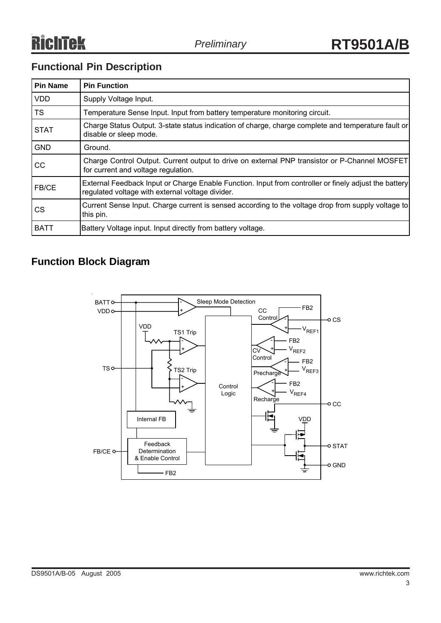## **Functional Pin Description**

| <b>Pin Name</b> | <b>Pin Function</b>                                                                                                                                       |
|-----------------|-----------------------------------------------------------------------------------------------------------------------------------------------------------|
| <b>VDD</b>      | Supply Voltage Input.                                                                                                                                     |
| <b>TS</b>       | Temperature Sense Input. Input from battery temperature monitoring circuit.                                                                               |
| <b>STAT</b>     | Charge Status Output. 3-state status indication of charge, charge complete and temperature fault or<br>disable or sleep mode.                             |
| <b>GND</b>      | Ground.                                                                                                                                                   |
| <b>CC</b>       | Charge Control Output. Current output to drive on external PNP transistor or P-Channel MOSFET<br>for current and voltage regulation.                      |
| FB/CE           | External Feedback Input or Charge Enable Function. Input from controller or finely adjust the battery<br>regulated voltage with external voltage divider. |
| CS.             | Current Sense Input. Charge current is sensed according to the voltage drop from supply voltage to<br>this pin.                                           |
| <b>BATT</b>     | Battery Voltage input. Input directly from battery voltage.                                                                                               |

## **Function Block Diagram**

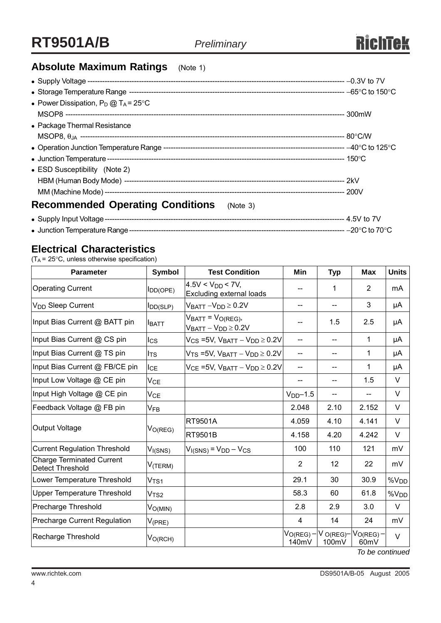## **Absolute Maximum Ratings** (Note 1)

| • Power Dissipation, $P_D @ T_A = 25^{\circ}C$      |  |
|-----------------------------------------------------|--|
|                                                     |  |
| • Package Thermal Resistance                        |  |
|                                                     |  |
|                                                     |  |
|                                                     |  |
| • ESD Susceptibility (Note 2)                       |  |
|                                                     |  |
|                                                     |  |
| <b>Recommended Operating Conditions</b><br>(Note 3) |  |
|                                                     |  |

<sup>z</sup> Junction Temperature Range---------------------------------------------------------------------------------------- −20°C to 70°C

### **Electrical Characteristics**

(TA = 25°C, unless otherwise specification)

| Parameter                                                   | <b>Symbol</b>               | <b>Test Condition</b>                                               | Min                            | <b>Typ</b>              | <b>Max</b>             | <b>Units</b>     |
|-------------------------------------------------------------|-----------------------------|---------------------------------------------------------------------|--------------------------------|-------------------------|------------------------|------------------|
| <b>Operating Current</b>                                    | I <sub>DD</sub> (OPE)       | $4.5V < VDD < 7V$ ,<br>Excluding external loads                     |                                | 1                       | $\overline{2}$         | mA               |
| V <sub>DD</sub> Sleep Current                               | <b>I</b> DD(SLP)            | $V_{BATT} - V_{DD} \ge 0.2 V$                                       | $-$                            | $\qquad \qquad -$       | 3                      | μA               |
| Input Bias Current @ BATT pin                               | Іватт                       | $V_{BATT} = V_{O(REG)}$<br>$V_{BATT} - V_{DD} \ge 0.2V$             |                                | 1.5                     | 2.5                    | μA               |
| Input Bias Current @ CS pin                                 | lcs                         | $V_{CS}$ =5V, $V_{BATT} - V_{DD} \ge 0.2V$                          | $- -$                          | $-$                     | 1                      | μA               |
| Input Bias Current @ TS pin                                 | I <sub>TS</sub>             | $V$ <sub>TS</sub> = 5V, $V_{\text{BAT}} - V_{\text{DD}} \geq 0.2 V$ | --                             |                         | 1                      | μA               |
| Input Bias Current @ FB/CE pin                              | IсE                         | $V_{CE}$ =5V, $V_{BATT} - V_{DD} \ge 0.2V$                          | $- -$                          | --                      | 1                      | μA               |
| Input Low Voltage @ CE pin                                  | $V_{CE}$                    |                                                                     | --                             | --                      | 1.5                    | V                |
| Input High Voltage @ CE pin                                 | V <sub>CE</sub>             |                                                                     | $VDD-1.5$                      | --                      | $- -$                  | V                |
| Feedback Voltage @ FB pin                                   | $\mathsf{V}_{\mathsf{FB}}$  |                                                                     | 2.048                          | 2.10                    | 2.152                  | V                |
| <b>Output Voltage</b>                                       | V <sub>O(REG)</sub>         | <b>RT9501A</b>                                                      | 4.059                          | 4.10                    | 4.141                  | V                |
|                                                             |                             | RT9501B                                                             | 4.158                          | 4.20                    | 4.242                  | $\vee$           |
| <b>Current Regulation Threshold</b>                         | V <sub>I(SNS)</sub>         | $V_{I(SNS)} = V_{DD} - V_{CS}$                                      | 100                            | 110                     | 121                    | mV               |
| <b>Charge Terminated Current</b><br><b>Detect Threshold</b> | $V$ (TERM)                  |                                                                     | 2                              | 12                      | 22                     | mV               |
| Lower Temperature Threshold                                 | $\mathsf{V}_{\mathsf{TS1}}$ |                                                                     | 29.1                           | 30                      | 30.9                   | %V <sub>DD</sub> |
| <b>Upper Temperature Threshold</b>                          | V <sub>TS2</sub>            |                                                                     | 58.3                           | 60                      | 61.8                   | $\%V_{DD}$       |
| Precharge Threshold                                         | V <sub>O(MIN)</sub>         |                                                                     | 2.8                            | 2.9                     | 3.0                    | $\vee$           |
| <b>Precharge Current Regulation</b>                         | $V_{(\text{PRE})}$          |                                                                     | 4                              | 14                      | 24                     | mV               |
| Recharge Threshold                                          | $V_{O(RCH)}$                |                                                                     | V <sub>O(REG)</sub> -<br>140mV | $V$ O(REG) $-$<br>100mV | $V_{O(REG)}$ -<br>60mV | $\vee$           |

*To be continued*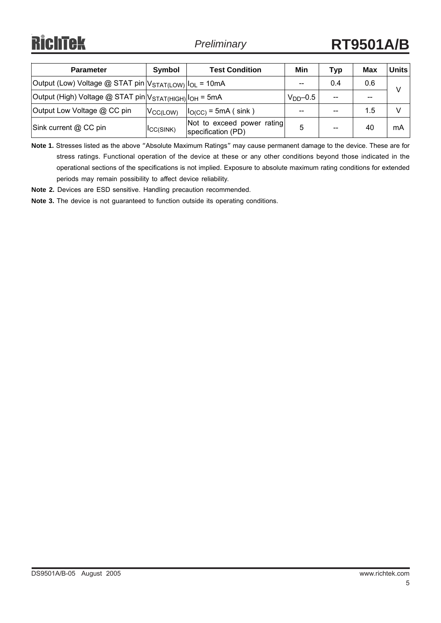# **RichTek**

| <b>Parameter</b>                                                                  | Symbol               | <b>Test Condition</b>                            | Min        | Typ   | Max   | Units |
|-----------------------------------------------------------------------------------|----------------------|--------------------------------------------------|------------|-------|-------|-------|
| Output (Low) Voltage @ STAT pin   V <sub>STAT(LOW)</sub>   I <sub>OL</sub> = 10mA |                      |                                                  | --         | 0.4   | 0.6   |       |
| Output (High) Voltage @ STAT pin V <sub>STAT(HIGH)</sub>  I <sub>OH</sub> = 5mA   |                      |                                                  | $VDD$ -0.5 |       | $- -$ |       |
| Output Low Voltage @ CC pin                                                       | V <sub>CC(LOW)</sub> | $I_{O(CC)}$ = 5mA (sink)                         | --         |       | 1.5   |       |
| Sink current @ CC pin                                                             | ICC(SINK)            | Not to exceed power rating<br>specification (PD) | 5          | $- -$ | 40    | mA    |

**Note 1.** Stresses listed as the above "Absolute Maximum Ratings" may cause permanent damage to the device. These are for stress ratings. Functional operation of the device at these or any other conditions beyond those indicated in the operational sections of the specifications is not implied. Exposure to absolute maximum rating conditions for extended periods may remain possibility to affect device reliability.

**Note 2.** Devices are ESD sensitive. Handling precaution recommended.

**Note 3.** The device is not guaranteed to function outside its operating conditions.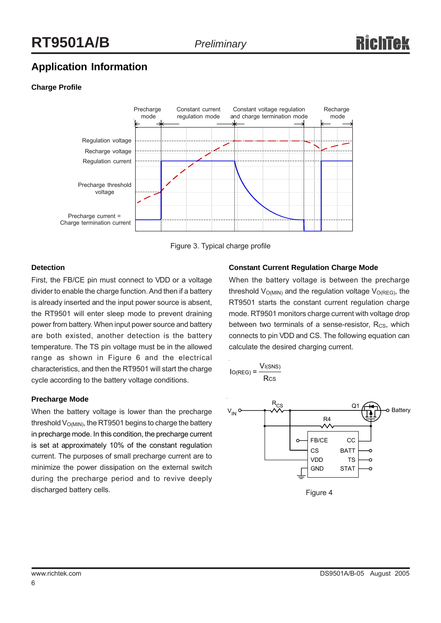## **Application Information**

#### **Charge Profile**



Figure 3. Typical charge profile

#### **Detection**

First, the FB/CE pin must connect to VDD or a voltage divider to enable the charge function. And then if a battery is already inserted and the input power source is absent, the RT9501 will enter sleep mode to prevent draining power from battery. When input power source and battery are both existed, another detection is the battery temperature. The TS pin voltage must be in the allowed range as shown in Figure 6 and the electrical characteristics, and then the RT9501 will start the charge cycle according to the battery voltage conditions.

#### **Precharge Mode**

When the battery voltage is lower than the precharge threshold  $V<sub>O(MIN)</sub>$ , the RT9501 begins to charge the battery in precharge mode. In this condition, the precharge current is set at approximately 10% of the constant regulation current. The purposes of small precharge current are to minimize the power dissipation on the external switch during the precharge period and to revive deeply discharged battery cells.

#### **Constant Current Regulation Charge Mode**

When the battery voltage is between the precharge threshold  $V_{O(MIN)}$  and the regulation voltage  $V_{O(REG)}$ , the RT9501 starts the constant current regulation charge mode. RT9501 monitors charge current with voltage drop between two terminals of a sense-resistor,  $R_{CS}$ , which connects to pin VDD and CS. The following equation can calculate the desired charging current.



Figure 4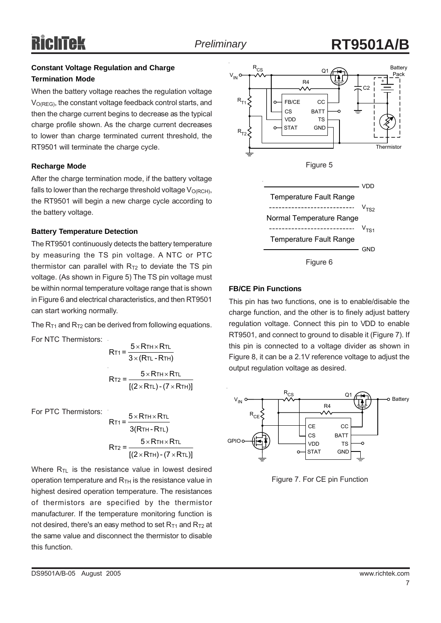## **Preliminary RT9501A**

#### **Constant Voltage Regulation and Charge Termination Mode**

When the battery voltage reaches the regulation voltage  $V<sub>O(REG)</sub>$ , the constant voltage feedback control starts, and then the charge current begins to decrease as the typical charge profile shown. As the charge current decreases to lower than charge terminated current threshold, the RT9501 will terminate the charge cycle.

#### **Recharge Mode**

After the charge termination mode, if the battery voltage falls to lower than the recharge threshold voltage  $V_{O(RCH)}$ , the RT9501 will begin a new charge cycle according to the battery voltage.

#### **Battery Temperature Detection**

The RT9501 continuously detects the battery temperature by measuring the TS pin voltage. A NTC or PTC thermistor can parallel with  $R<sub>T2</sub>$  to deviate the TS pin voltage. (As shown in Figure 5) The TS pin voltage must be within normal temperature voltage range that is shown in Figure 6 and electrical characteristics, and then RT9501 can start working normally.

The  $R_{T1}$  and  $R_{T2}$  can be derived from following equations.

For NTC Thermistors:

$$
RT1 = \frac{5 \times RTH \times RTL}{3 \times (RTL - RTH)}
$$
  

$$
5 \times RTH \times RTL
$$

$$
RT2 = \frac{1}{[(2 \times RTL) - (7 \times RTH)]}
$$

For PTC Thermistors:

RT1 = 
$$
\frac{5 \times RTH \times RTL}{3(RTH - RTL)}
$$
  
RT2 = 
$$
\frac{5 \times RTH \times RTL}{[(2 \times RTH) - (7 \times RTL)]}
$$

Where  $R_{TL}$  is the resistance value in lowest desired operation temperature and  $R<sub>TH</sub>$  is the resistance value in highest desired operation temperature. The resistances of thermistors are specified by the thermistor manufacturer. If the temperature monitoring function is not desired, there's an easy method to set  $R_{T1}$  and  $R_{T2}$  at the same value and disconnect the thermistor to disable this function.



#### **FB/CE Pin Functions**

This pin has two functions, one is to enable/disable the charge function, and the other is to finely adjust battery regulation voltage. Connect this pin to VDD to enable RT9501, and connect to ground to disable it (Figure 7). If this pin is connected to a voltage divider as shown in Figure 8, it can be a 2.1V reference voltage to adjust the output regulation voltage as desired.



Figure 7. For CE pin Function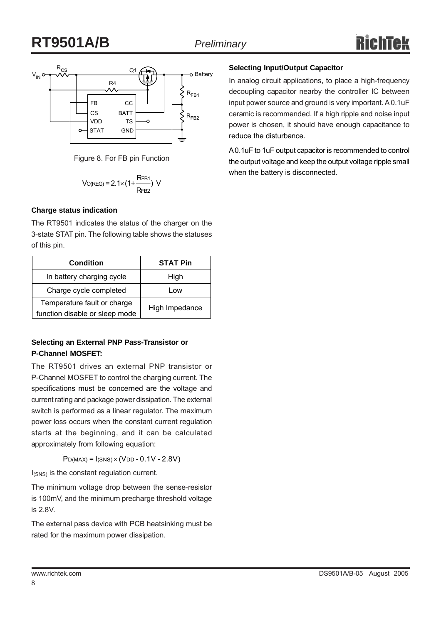## **RT9501A/B** *Preliminary*



Figure 8. For FB pin Function

$$
V_{O(REG)} = 2.1 \times (1 + \frac{RFB1}{RFB2}) V
$$

#### **Charge status indication**

The RT9501 indicates the status of the charger on the 3-state STAT pin. The following table shows the statuses of this pin.

| <b>Condition</b>                                              | <b>STAT Pin</b> |  |  |
|---------------------------------------------------------------|-----------------|--|--|
| In battery charging cycle                                     | High            |  |  |
| Charge cycle completed                                        | Low             |  |  |
| Temperature fault or charge<br>function disable or sleep mode | High Impedance  |  |  |

#### **Selecting an External PNP Pass-Transistor or P-Channel MOSFET:**

The RT9501 drives an external PNP transistor or P-Channel MOSFET to control the charging current. The specifications must be concerned are the voltage and current rating and package power dissipation. The external switch is performed as a linear regulator. The maximum power loss occurs when the constant current regulation starts at the beginning, and it can be calculated approximately from following equation:

 $P_{D(MAX)} = I_{(SNS)} \times (V_{DD} - 0.1V - 2.8V)$ 

I<sub>(SNS)</sub> is the constant regulation current.

The minimum voltage drop between the sense-resistor is 100mV, and the minimum precharge threshold voltage is 2.8V.

The external pass device with PCB heatsinking must be rated for the maximum power dissipation.

#### **Selecting Input/Output Capacitor**

In analog circuit applications, to place a high-frequency decoupling capacitor nearby the controller IC between input power source and ground is very important. A 0.1uF ceramic is recommended. If a high ripple and noise input power is chosen, it should have enough capacitance to reduce the disturbance.

A 0.1uF to 1uF output capacitor is recommended to control the output voltage and keep the output voltage ripple small when the battery is disconnected.